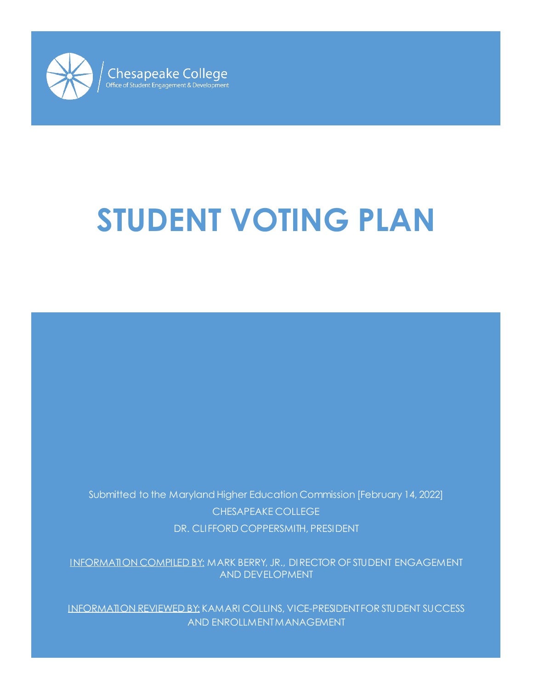

# **STUDENT VOTING PLAN**

Submitted to the Maryland Higher Education Commission [February 14, 2022] CHESAPEAKE COLLEGE DR. CLIFFORD COPPERSMITH, PRESIDENT

INFORMATION COMPILED BY: MARK BERRY, JR., DIRECTOR OF STUDENT ENGAGEMENT AND DEVELOPMENT

INFORMATION REVIEWED BY: KAMARI COLLINS, VICE-PRESIDENT FOR STUDENT SUCCESS AND ENROLLMENT MANAGEMENT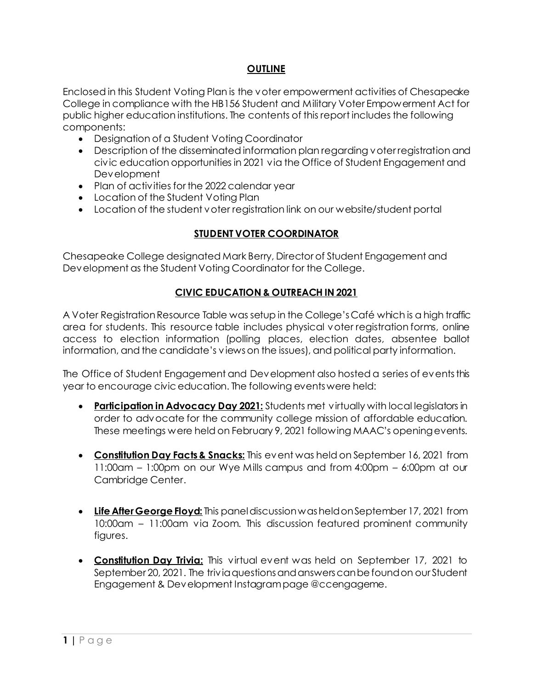#### **OUTLINE**

Enclosed in this Student Voting Plan is the voter empowerment activities of Chesapeake College in compliance with the HB156 Student and Military Voter Empowerment Act for public higher education institutions. The contents of this report includes the following components:

- Designation of a Student Voting Coordinator
- Description of the disseminated information plan regarding voter registration and civic education opportunities in 2021 via the Office of Student Engagement and Development
- Plan of activities for the 2022 calendar year
- Location of the Student Voting Plan
- Location of the student voter registration link on our website/student portal

### **STUDENT VOTER COORDINATOR**

Chesapeake College designated Mark Berry, Director of Student Engagement and Development as the Student Voting Coordinator for the College.

#### **CIVIC EDUCATION & OUTREACH IN 2021**

A Voter Registration Resource Table was setup in the College's Café which is a high traffic area for students. This resource table includes physical voter registration forms, online access to election information (polling places, election dates, absentee ballot information, and the candidate's views on the issues), and political party information.

The Office of Student Engagement and Development also hosted a series of events this year to encourage civic education. The following events were held:

- **Participation in Advocacy Day 2021:** Students met virtually with local legislators in order to advocate for the community college mission of affordable education. These meetings were held on February 9, 2021 following MAAC's opening events.
- **Constitution Day Facts & Snacks:** This event was held on September 16, 2021 from 11:00am – 1:00pm on our Wye Mills campus and from 4:00pm – 6:00pm at our Cambridge Center.
- **Life After George Floyd:** This panel discussion was held on September 17, 2021 from 10:00am – 11:00am via Zoom. This discussion featured prominent community figures.
- **Constitution Day Trivia:** This virtual event was held on September 17, 2021 to September 20, 2021. The trivia questions and answers can be found on our Student Engagement & Development Instagram page @ccengageme.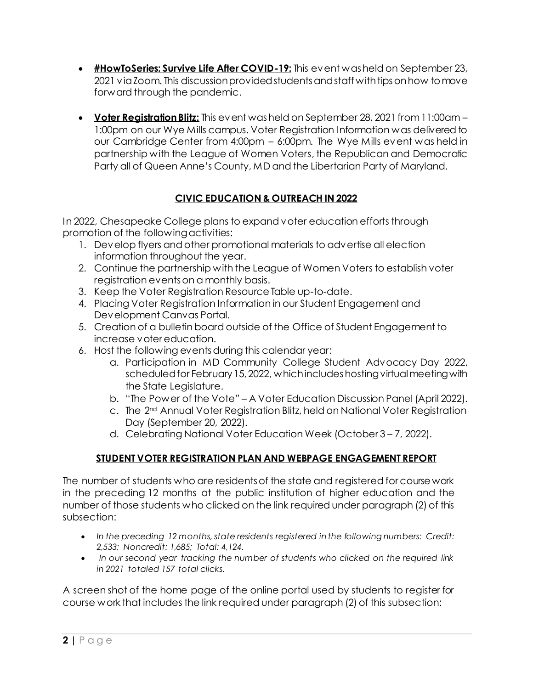- **#HowToSeries: Survive Life After COVID-19:** This event was held on September 23, 2021 via Zoom. This discussion provided students and staff with tips on how to move forward through the pandemic.
- **Voter Registration Blitz:** This event was held on September 28, 2021 from 11:00am 1:00pm on our Wye Mills campus. Voter Registration Information was delivered to our Cambridge Center from 4:00pm – 6:00pm. The Wye Mills event was held in partnership with the League of Women Voters, the Republican and Democratic Party all of Queen Anne's County, MD and the Libertarian Party of Maryland.

## **CIVIC EDUCATION & OUTREACH IN 2022**

In 2022, Chesapeake College plans to expand voter education efforts through promotion of the following activities:

- 1. Develop flyers and other promotional materials to advertise all election information throughout the year.
- 2. Continue the partnership with the League of Women Voters to establish voter registration events on a monthly basis.
- 3. Keep the Voter Registration Resource Table up-to-date.
- 4. Placing Voter Registration Information in our Student Engagement and Development Canvas Portal.
- 5. Creation of a bulletin board outside of the Office of Student Engagement to increase voter education.
- 6. Host the following events during this calendar year:
	- a. Participation in MD Community College Student Advocacy Day 2022, scheduled for February 15, 2022, which includes hosting virtual meeting with the State Legislature.
	- b. "The Power of the Vote" A Voter Education Discussion Panel (April 2022).
	- c. The 2<sup>nd</sup> Annual Voter Registration Blitz, held on National Voter Registration Day (September 20, 2022).
	- d. Celebrating National Voter Education Week (October 3 7, 2022).

## **STUDENT VOTER REGISTRATION PLAN AND WEBPAGE ENGAGEMENT REPORT**

The number of students who are residents of the state and registered for course work in the preceding 12 months at the public institution of higher education and the number of those students who clicked on the link required under paragraph (2) of this subsection:

- *In the preceding 12 months, state residents registered in the following numbers: Credit: 2,533; Noncredit: 1,685; Total: 4,124.*
- *In our second year tracking the number of students who clicked on the required link in 2021 totaled 157 total clicks.*

A screen shot of the home page of the online portal used by students to register for course work that includes the link required under paragraph (2) of this subsection: